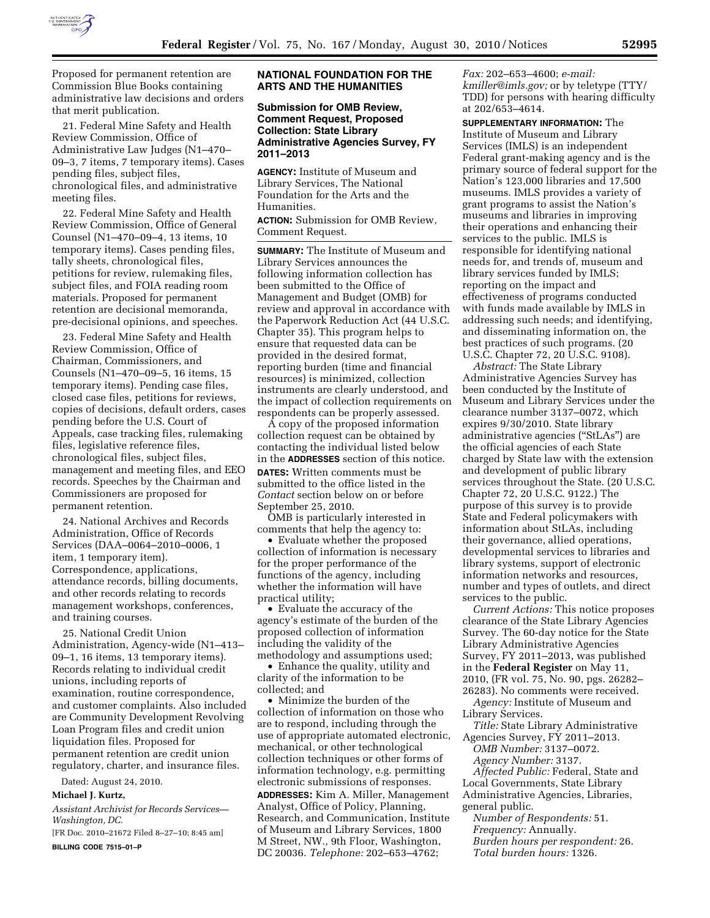

Proposed for permanent retention are Commission Blue Books containing administrative law decisions and orders that merit publication.

21. Federal Mine Safety and Health Review Commission, Office of Administrative Law Judges (N1–470– 09–3, 7 items, 7 temporary items). Cases pending files, subject files, chronological files, and administrative meeting files.

22. Federal Mine Safety and Health Review Commission, Office of General Counsel (N1–470–09–4, 13 items, 10 temporary items). Cases pending files, tally sheets, chronological files, petitions for review, rulemaking files, subject files, and FOIA reading room materials. Proposed for permanent retention are decisional memoranda, pre-decisional opinions, and speeches.

23. Federal Mine Safety and Health Review Commission, Office of Chairman, Commissioners, and Counsels (N1–470–09–5, 16 items, 15 temporary items). Pending case files, closed case files, petitions for reviews, copies of decisions, default orders, cases pending before the U.S. Court of Appeals, case tracking files, rulemaking files, legislative reference files, chronological files, subject files, management and meeting files, and EEO records. Speeches by the Chairman and Commissioners are proposed for permanent retention.

24. National Archives and Records Administration, Office of Records Services (DAA–0064–2010–0006, 1 item, 1 temporary item). Correspondence, applications, attendance records, billing documents, and other records relating to records management workshops, conferences, and training courses.

25. National Credit Union Administration, Agency-wide (N1–413– 09–1, 16 items, 13 temporary items). Records relating to individual credit unions, including reports of examination, routine correspondence, and customer complaints. Also included are Community Development Revolving Loan Program files and credit union liquidation files. Proposed for permanent retention are credit union regulatory, charter, and insurance files.

Dated: August 24, 2010.

### **Michael J. Kurtz,**

*Assistant Archivist for Records Services— Washington, DC.* 

[FR Doc. 2010–21672 Filed 8–27–10; 8:45 am] **BILLING CODE 7515–01–P** 

# **NATIONAL FOUNDATION FOR THE ARTS AND THE HUMANITIES**

## **Submission for OMB Review, Comment Request, Proposed Collection: State Library Administrative Agencies Survey, FY 2011–2013**

**AGENCY:** Institute of Museum and Library Services, The National Foundation for the Arts and the Humanities.

**ACTION:** Submission for OMB Review, Comment Request.

**SUMMARY:** The Institute of Museum and Library Services announces the following information collection has been submitted to the Office of Management and Budget (OMB) for review and approval in accordance with the Paperwork Reduction Act (44 U.S.C. Chapter 35). This program helps to ensure that requested data can be provided in the desired format, reporting burden (time and financial resources) is minimized, collection instruments are clearly understood, and the impact of collection requirements on respondents can be properly assessed.

A copy of the proposed information collection request can be obtained by contacting the individual listed below in the **ADDRESSES** section of this notice. **DATES:** Written comments must be submitted to the office listed in the *Contact* section below on or before September 25, 2010.

OMB is particularly interested in comments that help the agency to:

• Evaluate whether the proposed collection of information is necessary for the proper performance of the functions of the agency, including whether the information will have practical utility;

• Evaluate the accuracy of the agency's estimate of the burden of the proposed collection of information including the validity of the methodology and assumptions used;

• Enhance the quality, utility and clarity of the information to be collected; and

• Minimize the burden of the collection of information on those who are to respond, including through the use of appropriate automated electronic, mechanical, or other technological collection techniques or other forms of information technology, e.g. permitting electronic submissions of responses.

**ADDRESSES:** Kim A. Miller, Management Analyst, Office of Policy, Planning, Research, and Communication, Institute of Museum and Library Services, 1800 M Street, NW., 9th Floor, Washington, DC 20036. *Telephone:* 202–653–4762;

*Fax:* 202–653–4600; *e-mail: [kmiller@imls.gov;](mailto:kmiller@imls.gov)* or by teletype (TTY/ TDD) for persons with hearing difficulty at 202/653–4614.

**SUPPLEMENTARY INFORMATION:** The Institute of Museum and Library Services (IMLS) is an independent Federal grant-making agency and is the primary source of federal support for the Nation's 123,000 libraries and 17,500 museums. IMLS provides a variety of grant programs to assist the Nation's museums and libraries in improving their operations and enhancing their services to the public. IMLS is responsible for identifying national needs for, and trends of, museum and library services funded by IMLS; reporting on the impact and effectiveness of programs conducted with funds made available by IMLS in addressing such needs; and identifying, and disseminating information on, the best practices of such programs. (20 U.S.C. Chapter 72, 20 U.S.C. 9108).

*Abstract:* The State Library Administrative Agencies Survey has been conducted by the Institute of Museum and Library Services under the clearance number 3137–0072, which expires 9/30/2010. State library administrative agencies ("StLAs") are the official agencies of each State charged by State law with the extension and development of public library services throughout the State. (20 U.S.C. Chapter 72, 20 U.S.C. 9122.) The purpose of this survey is to provide State and Federal policymakers with information about StLAs, including their governance, allied operations, developmental services to libraries and library systems, support of electronic information networks and resources, number and types of outlets, and direct services to the public.

*Current Actions:* This notice proposes clearance of the State Library Agencies Survey. The 60-day notice for the State Library Administrative Agencies Survey, FY 2011–2013, was published in the **Federal Register** on May 11, 2010, (FR vol. 75, No. 90, pgs. 26282– 26283). No comments were received.

*Agency:* Institute of Museum and Library Services.

*Title:* State Library Administrative Agencies Survey, FY 2011–2013.

*OMB Number:* 3137–0072. *Agency Number:* 3137.

*Affected Public:* Federal, State and Local Governments, State Library Administrative Agencies, Libraries, general public.

*Number of Respondents:* 51. *Frequency:* Annually. *Burden hours per respondent:* 26. *Total burden hours:* 1326.